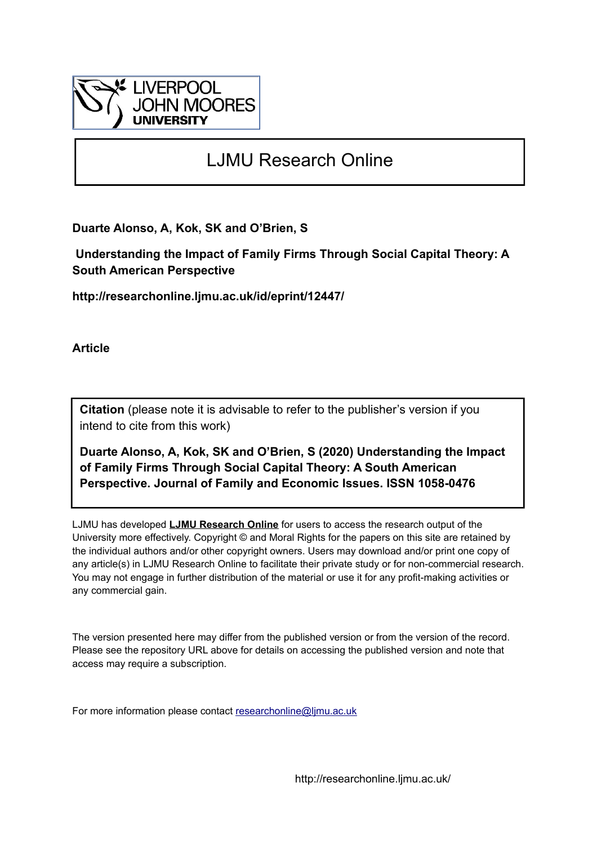

# LJMU Research Online

**Duarte Alonso, A, Kok, SK and O'Brien, S**

 **Understanding the Impact of Family Firms Through Social Capital Theory: A South American Perspective**

**http://researchonline.ljmu.ac.uk/id/eprint/12447/**

**Article**

**Citation** (please note it is advisable to refer to the publisher's version if you intend to cite from this work)

**Duarte Alonso, A, Kok, SK and O'Brien, S (2020) Understanding the Impact of Family Firms Through Social Capital Theory: A South American Perspective. Journal of Family and Economic Issues. ISSN 1058-0476** 

LJMU has developed **[LJMU Research Online](http://researchonline.ljmu.ac.uk/)** for users to access the research output of the University more effectively. Copyright © and Moral Rights for the papers on this site are retained by the individual authors and/or other copyright owners. Users may download and/or print one copy of any article(s) in LJMU Research Online to facilitate their private study or for non-commercial research. You may not engage in further distribution of the material or use it for any profit-making activities or any commercial gain.

The version presented here may differ from the published version or from the version of the record. Please see the repository URL above for details on accessing the published version and note that access may require a subscription.

For more information please contact [researchonline@ljmu.ac.uk](mailto:researchonline@ljmu.ac.uk)

http://researchonline.ljmu.ac.uk/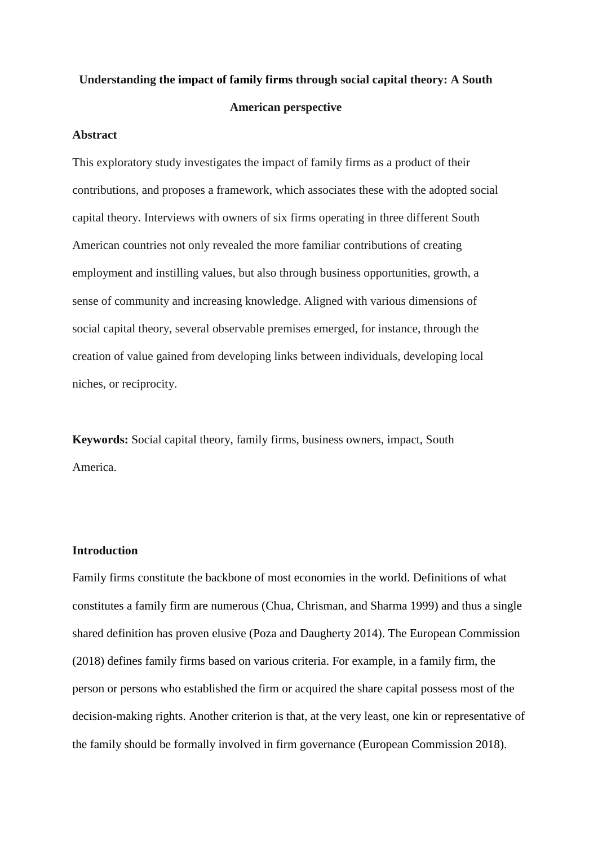# **Understanding the impact of family firms through social capital theory: A South American perspective**

#### **Abstract**

This exploratory study investigates the impact of family firms as a product of their contributions, and proposes a framework, which associates these with the adopted social capital theory. Interviews with owners of six firms operating in three different South American countries not only revealed the more familiar contributions of creating employment and instilling values, but also through business opportunities, growth, a sense of community and increasing knowledge. Aligned with various dimensions of social capital theory, several observable premises emerged, for instance, through the creation of value gained from developing links between individuals, developing local niches, or reciprocity.

**Keywords:** Social capital theory, family firms, business owners, impact, South America.

# **Introduction**

Family firms constitute the backbone of most economies in the world. Definitions of what constitutes a family firm are numerous (Chua, Chrisman, and Sharma 1999) and thus a single shared definition has proven elusive (Poza and Daugherty 2014). The European Commission (2018) defines family firms based on various criteria. For example, in a family firm, the person or persons who established the firm or acquired the share capital possess most of the decision-making rights. Another criterion is that, at the very least, one kin or representative of the family should be formally involved in firm governance (European Commission 2018).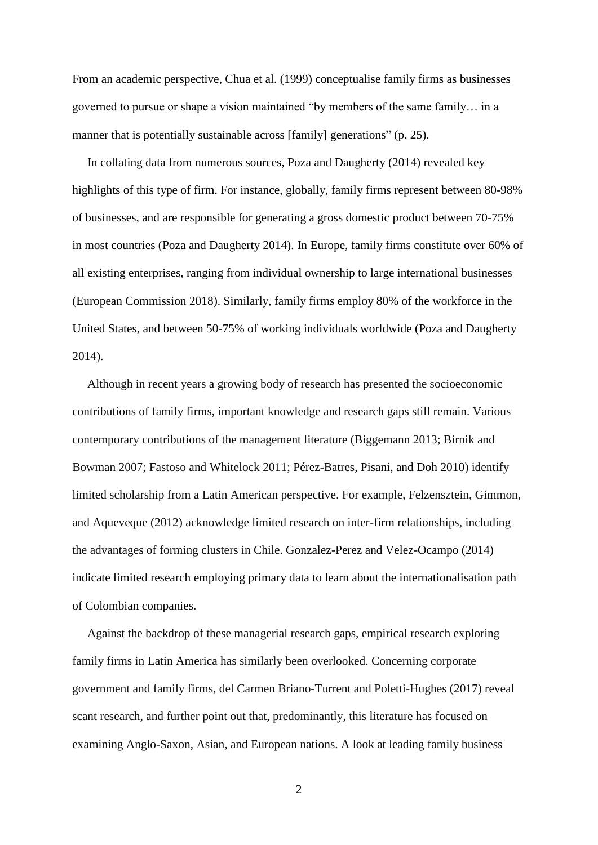From an academic perspective, Chua et al. (1999) conceptualise family firms as businesses governed to pursue or shape a vision maintained "by members of the same family… in a manner that is potentially sustainable across [family] generations" (p. 25).

 In collating data from numerous sources, Poza and Daugherty (2014) revealed key highlights of this type of firm. For instance, globally, family firms represent between 80-98% of businesses, and are responsible for generating a gross domestic product between 70-75% in most countries (Poza and Daugherty 2014). In Europe, family firms constitute over 60% of all existing enterprises, ranging from individual ownership to large international businesses (European Commission 2018). Similarly, family firms employ 80% of the workforce in the United States, and between 50-75% of working individuals worldwide (Poza and Daugherty 2014).

 Although in recent years a growing body of research has presented the socioeconomic contributions of family firms, important knowledge and research gaps still remain. Various contemporary contributions of the management literature (Biggemann 2013; Birnik and Bowman 2007; Fastoso and Whitelock 2011; Pérez-Batres, Pisani, and Doh 2010) identify limited scholarship from a Latin American perspective. For example, Felzensztein, Gimmon, and Aqueveque (2012) acknowledge limited research on inter-firm relationships, including the advantages of forming clusters in Chile. Gonzalez-Perez and Velez-Ocampo (2014) indicate limited research employing primary data to learn about the internationalisation path of Colombian companies.

 Against the backdrop of these managerial research gaps, empirical research exploring family firms in Latin America has similarly been overlooked. Concerning corporate government and family firms, del Carmen Briano-Turrent and Poletti-Hughes (2017) reveal scant research, and further point out that, predominantly, this literature has focused on examining Anglo-Saxon, Asian, and European nations. A look at leading family business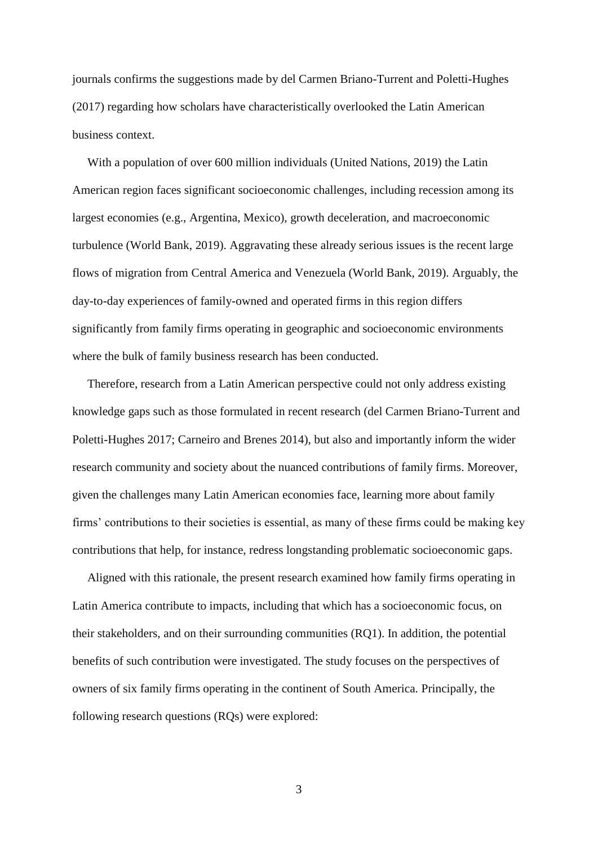journals confirms the suggestions made by del Carmen Briano-Turrent and Poletti-Hughes (2017) regarding how scholars have characteristically overlooked the Latin American business context.

 With a population of over 600 million individuals (United Nations, 2019) the Latin American region faces significant socioeconomic challenges, including recession among its largest economies (e.g., Argentina, Mexico), growth deceleration, and macroeconomic turbulence (World Bank, 2019). Aggravating these already serious issues is the recent large flows of migration from Central America and Venezuela (World Bank, 2019). Arguably, the day-to-day experiences of family-owned and operated firms in this region differs significantly from family firms operating in geographic and socioeconomic environments where the bulk of family business research has been conducted.

 Therefore, research from a Latin American perspective could not only address existing knowledge gaps such as those formulated in recent research (del Carmen Briano-Turrent and Poletti-Hughes 2017; Carneiro and Brenes 2014), but also and importantly inform the wider research community and society about the nuanced contributions of family firms. Moreover, given the challenges many Latin American economies face, learning more about family firms' contributions to their societies is essential, as many of these firms could be making key contributions that help, for instance, redress longstanding problematic socioeconomic gaps.

 Aligned with this rationale, the present research examined how family firms operating in Latin America contribute to impacts, including that which has a socioeconomic focus, on their stakeholders, and on their surrounding communities (RQ1). In addition, the potential benefits of such contribution were investigated. The study focuses on the perspectives of owners of six family firms operating in the continent of South America. Principally, the following research questions (RQs) were explored: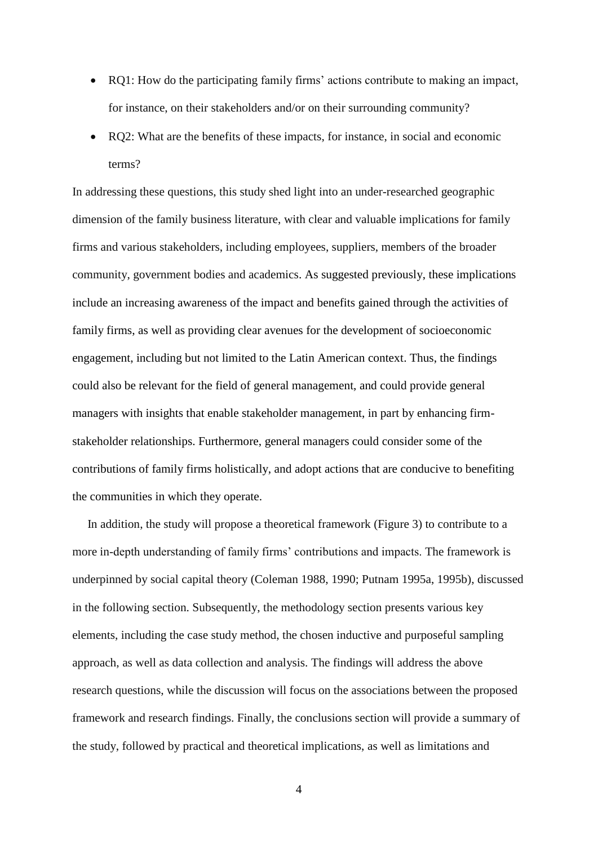- RQ1: How do the participating family firms' actions contribute to making an impact, for instance, on their stakeholders and/or on their surrounding community?
- RQ2: What are the benefits of these impacts, for instance, in social and economic terms?

In addressing these questions, this study shed light into an under-researched geographic dimension of the family business literature, with clear and valuable implications for family firms and various stakeholders, including employees, suppliers, members of the broader community, government bodies and academics. As suggested previously, these implications include an increasing awareness of the impact and benefits gained through the activities of family firms, as well as providing clear avenues for the development of socioeconomic engagement, including but not limited to the Latin American context. Thus, the findings could also be relevant for the field of general management, and could provide general managers with insights that enable stakeholder management, in part by enhancing firmstakeholder relationships. Furthermore, general managers could consider some of the contributions of family firms holistically, and adopt actions that are conducive to benefiting the communities in which they operate.

 In addition, the study will propose a theoretical framework (Figure 3) to contribute to a more in-depth understanding of family firms' contributions and impacts. The framework is underpinned by social capital theory (Coleman 1988, 1990; Putnam 1995a, 1995b), discussed in the following section. Subsequently, the methodology section presents various key elements, including the case study method, the chosen inductive and purposeful sampling approach, as well as data collection and analysis. The findings will address the above research questions, while the discussion will focus on the associations between the proposed framework and research findings. Finally, the conclusions section will provide a summary of the study, followed by practical and theoretical implications, as well as limitations and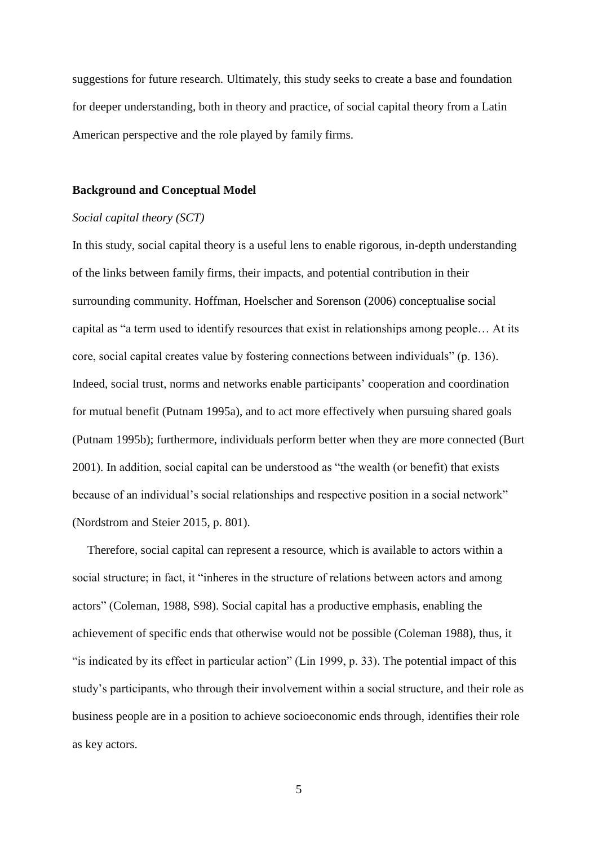suggestions for future research. Ultimately, this study seeks to create a base and foundation for deeper understanding, both in theory and practice, of social capital theory from a Latin American perspective and the role played by family firms.

### **Background and Conceptual Model**

## *Social capital theory (SCT)*

In this study, social capital theory is a useful lens to enable rigorous, in-depth understanding of the links between family firms, their impacts, and potential contribution in their surrounding community. Hoffman, Hoelscher and Sorenson (2006) conceptualise social capital as "a term used to identify resources that exist in relationships among people… At its core, social capital creates value by fostering connections between individuals" (p. 136). Indeed, social trust, norms and networks enable participants' cooperation and coordination for mutual benefit (Putnam 1995a), and to act more effectively when pursuing shared goals (Putnam 1995b); furthermore, individuals perform better when they are more connected (Burt 2001). In addition, social capital can be understood as "the wealth (or benefit) that exists because of an individual's social relationships and respective position in a social network" (Nordstrom and Steier 2015, p. 801).

 Therefore, social capital can represent a resource, which is available to actors within a social structure; in fact, it "inheres in the structure of relations between actors and among actors" (Coleman, 1988, S98). Social capital has a productive emphasis, enabling the achievement of specific ends that otherwise would not be possible (Coleman 1988), thus, it "is indicated by its effect in particular action" (Lin 1999, p. 33). The potential impact of this study's participants, who through their involvement within a social structure, and their role as business people are in a position to achieve socioeconomic ends through, identifies their role as key actors.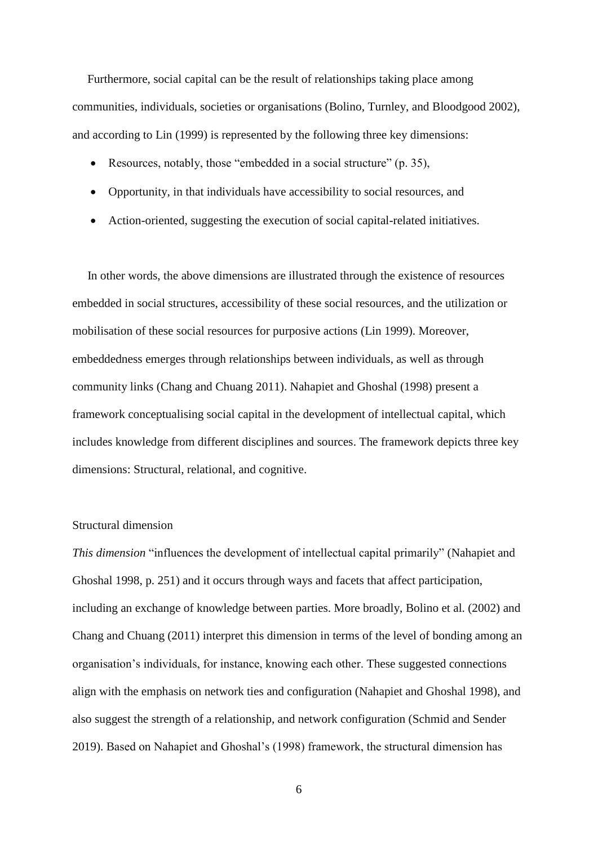Furthermore, social capital can be the result of relationships taking place among communities, individuals, societies or organisations (Bolino, Turnley, and Bloodgood 2002), and according to Lin (1999) is represented by the following three key dimensions:

- Resources, notably, those "embedded in a social structure" (p. 35),
- Opportunity, in that individuals have accessibility to social resources, and
- Action-oriented, suggesting the execution of social capital-related initiatives.

 In other words, the above dimensions are illustrated through the existence of resources embedded in social structures, accessibility of these social resources, and the utilization or mobilisation of these social resources for purposive actions (Lin 1999). Moreover, embeddedness emerges through relationships between individuals, as well as through community links (Chang and Chuang 2011). Nahapiet and Ghoshal (1998) present a framework conceptualising social capital in the development of intellectual capital, which includes knowledge from different disciplines and sources. The framework depicts three key dimensions: Structural, relational, and cognitive.

# Structural dimension

*This dimension* "influences the development of intellectual capital primarily" (Nahapiet and Ghoshal 1998, p. 251) and it occurs through ways and facets that affect participation, including an exchange of knowledge between parties. More broadly, Bolino et al. (2002) and Chang and Chuang (2011) interpret this dimension in terms of the level of bonding among an organisation's individuals, for instance, knowing each other. These suggested connections align with the emphasis on network ties and configuration (Nahapiet and Ghoshal 1998), and also suggest the strength of a relationship, and network configuration (Schmid and Sender 2019). Based on Nahapiet and Ghoshal's (1998) framework, the structural dimension has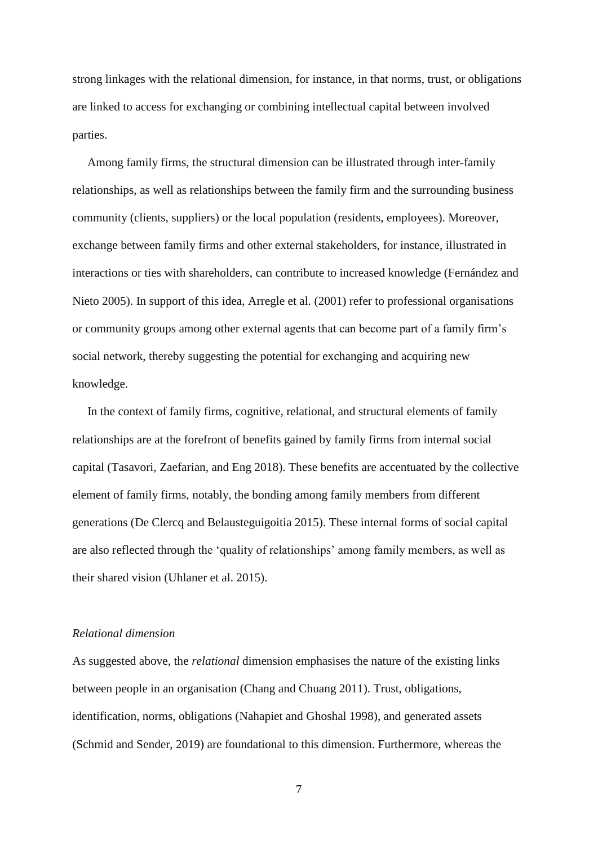strong linkages with the relational dimension, for instance, in that norms, trust, or obligations are linked to access for exchanging or combining intellectual capital between involved parties.

 Among family firms, the structural dimension can be illustrated through inter-family relationships, as well as relationships between the family firm and the surrounding business community (clients, suppliers) or the local population (residents, employees). Moreover, exchange between family firms and other external stakeholders, for instance, illustrated in interactions or ties with shareholders, can contribute to increased knowledge (Fernández and Nieto 2005). In support of this idea, Arregle et al. (2001) refer to professional organisations or community groups among other external agents that can become part of a family firm's social network, thereby suggesting the potential for exchanging and acquiring new knowledge.

 In the context of family firms, cognitive, relational, and structural elements of family relationships are at the forefront of benefits gained by family firms from internal social capital (Tasavori, Zaefarian, and Eng 2018). These benefits are accentuated by the collective element of family firms, notably, the bonding among family members from different generations (De Clercq and Belausteguigoitia 2015). These internal forms of social capital are also reflected through the 'quality of relationships' among family members, as well as their shared vision (Uhlaner et al. 2015).

# *Relational dimension*

As suggested above, the *relational* dimension emphasises the nature of the existing links between people in an organisation (Chang and Chuang 2011). Trust, obligations, identification, norms, obligations (Nahapiet and Ghoshal 1998), and generated assets (Schmid and Sender, 2019) are foundational to this dimension. Furthermore, whereas the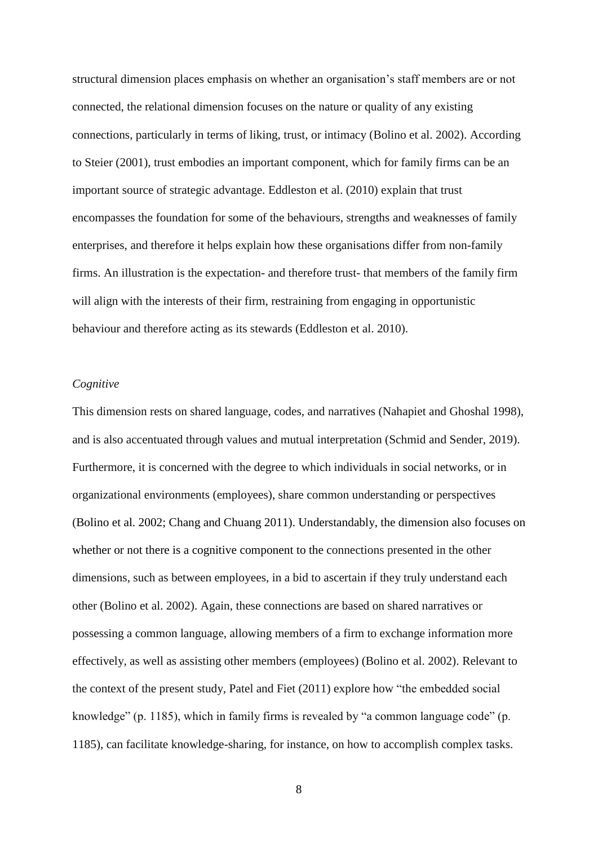structural dimension places emphasis on whether an organisation's staff members are or not connected, the relational dimension focuses on the nature or quality of any existing connections, particularly in terms of liking, trust, or intimacy (Bolino et al. 2002). According to Steier (2001), trust embodies an important component, which for family firms can be an important source of strategic advantage. Eddleston et al. (2010) explain that trust encompasses the foundation for some of the behaviours, strengths and weaknesses of family enterprises, and therefore it helps explain how these organisations differ from non-family firms. An illustration is the expectation- and therefore trust- that members of the family firm will align with the interests of their firm, restraining from engaging in opportunistic behaviour and therefore acting as its stewards (Eddleston et al. 2010).

# *Cognitive*

This dimension rests on shared language, codes, and narratives (Nahapiet and Ghoshal 1998), and is also accentuated through values and mutual interpretation (Schmid and Sender, 2019). Furthermore, it is concerned with the degree to which individuals in social networks, or in organizational environments (employees), share common understanding or perspectives (Bolino et al. 2002; Chang and Chuang 2011). Understandably, the dimension also focuses on whether or not there is a cognitive component to the connections presented in the other dimensions, such as between employees, in a bid to ascertain if they truly understand each other (Bolino et al. 2002). Again, these connections are based on shared narratives or possessing a common language, allowing members of a firm to exchange information more effectively, as well as assisting other members (employees) (Bolino et al. 2002). Relevant to the context of the present study, Patel and Fiet (2011) explore how "the embedded social knowledge" (p. 1185), which in family firms is revealed by "a common language code" (p. 1185), can facilitate knowledge-sharing, for instance, on how to accomplish complex tasks.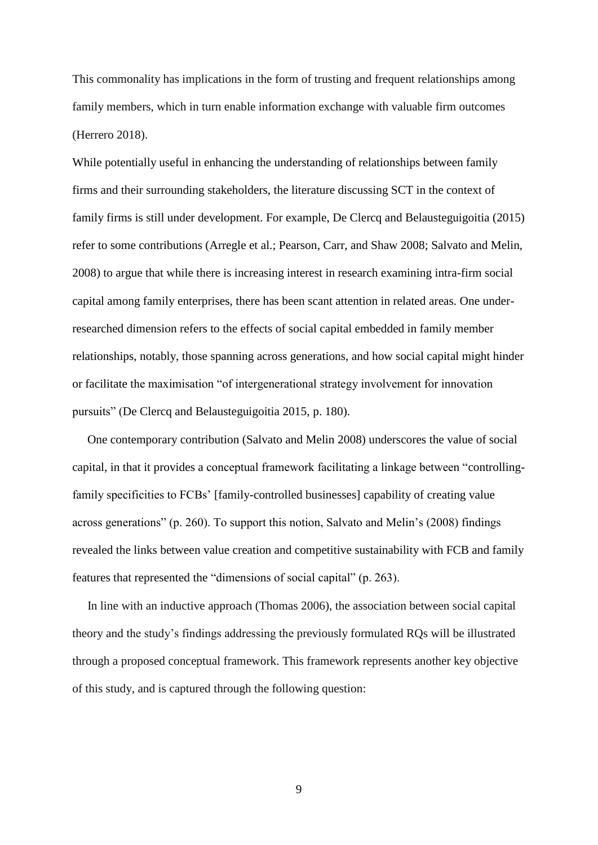This commonality has implications in the form of trusting and frequent relationships among family members, which in turn enable information exchange with valuable firm outcomes (Herrero 2018).

While potentially useful in enhancing the understanding of relationships between family firms and their surrounding stakeholders, the literature discussing SCT in the context of family firms is still under development. For example, De Clercq and Belausteguigoitia (2015) refer to some contributions (Arregle et al.; Pearson, Carr, and Shaw 2008; Salvato and Melin, 2008) to argue that while there is increasing interest in research examining intra-firm social capital among family enterprises, there has been scant attention in related areas. One underresearched dimension refers to the effects of social capital embedded in family member relationships, notably, those spanning across generations, and how social capital might hinder or facilitate the maximisation "of intergenerational strategy involvement for innovation pursuits" (De Clercq and Belausteguigoitia 2015, p. 180).

 One contemporary contribution (Salvato and Melin 2008) underscores the value of social capital, in that it provides a conceptual framework facilitating a linkage between "controllingfamily specificities to FCBs' [family-controlled businesses] capability of creating value across generations" (p. 260). To support this notion, Salvato and Melin's (2008) findings revealed the links between value creation and competitive sustainability with FCB and family features that represented the "dimensions of social capital" (p. 263).

 In line with an inductive approach (Thomas 2006), the association between social capital theory and the study's findings addressing the previously formulated RQs will be illustrated through a proposed conceptual framework. This framework represents another key objective of this study, and is captured through the following question: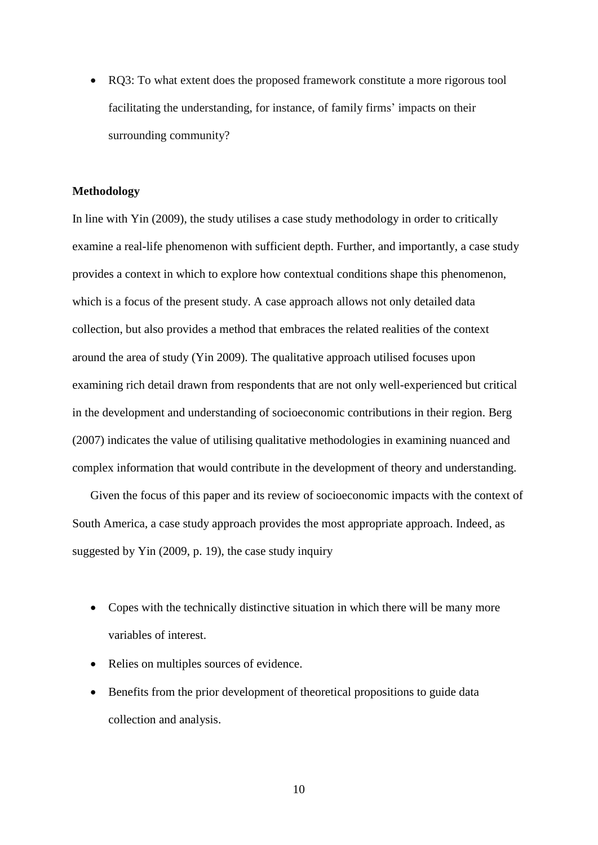• RQ3: To what extent does the proposed framework constitute a more rigorous tool facilitating the understanding, for instance, of family firms' impacts on their surrounding community?

# **Methodology**

In line with Yin (2009), the study utilises a case study methodology in order to critically examine a real-life phenomenon with sufficient depth. Further, and importantly, a case study provides a context in which to explore how contextual conditions shape this phenomenon, which is a focus of the present study. A case approach allows not only detailed data collection, but also provides a method that embraces the related realities of the context around the area of study (Yin 2009). The qualitative approach utilised focuses upon examining rich detail drawn from respondents that are not only well-experienced but critical in the development and understanding of socioeconomic contributions in their region. Berg (2007) indicates the value of utilising qualitative methodologies in examining nuanced and complex information that would contribute in the development of theory and understanding.

Given the focus of this paper and its review of socioeconomic impacts with the context of South America, a case study approach provides the most appropriate approach. Indeed, as suggested by Yin (2009, p. 19), the case study inquiry

- Copes with the technically distinctive situation in which there will be many more variables of interest.
- Relies on multiples sources of evidence.
- Benefits from the prior development of theoretical propositions to guide data collection and analysis.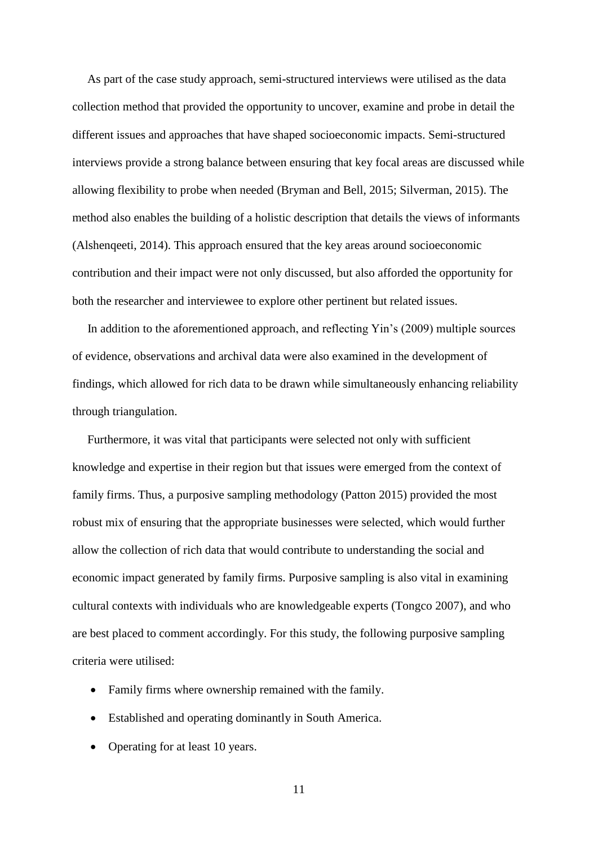As part of the case study approach, semi-structured interviews were utilised as the data collection method that provided the opportunity to uncover, examine and probe in detail the different issues and approaches that have shaped socioeconomic impacts. Semi-structured interviews provide a strong balance between ensuring that key focal areas are discussed while allowing flexibility to probe when needed (Bryman and Bell, 2015; Silverman, 2015). The method also enables the building of a holistic description that details the views of informants (Alshenqeeti, 2014). This approach ensured that the key areas around socioeconomic contribution and their impact were not only discussed, but also afforded the opportunity for both the researcher and interviewee to explore other pertinent but related issues.

 In addition to the aforementioned approach, and reflecting Yin's (2009) multiple sources of evidence, observations and archival data were also examined in the development of findings, which allowed for rich data to be drawn while simultaneously enhancing reliability through triangulation.

 Furthermore, it was vital that participants were selected not only with sufficient knowledge and expertise in their region but that issues were emerged from the context of family firms. Thus, a purposive sampling methodology (Patton 2015) provided the most robust mix of ensuring that the appropriate businesses were selected, which would further allow the collection of rich data that would contribute to understanding the social and economic impact generated by family firms. Purposive sampling is also vital in examining cultural contexts with individuals who are knowledgeable experts (Tongco 2007), and who are best placed to comment accordingly. For this study, the following purposive sampling criteria were utilised:

- Family firms where ownership remained with the family.
- Established and operating dominantly in South America.
- Operating for at least 10 years.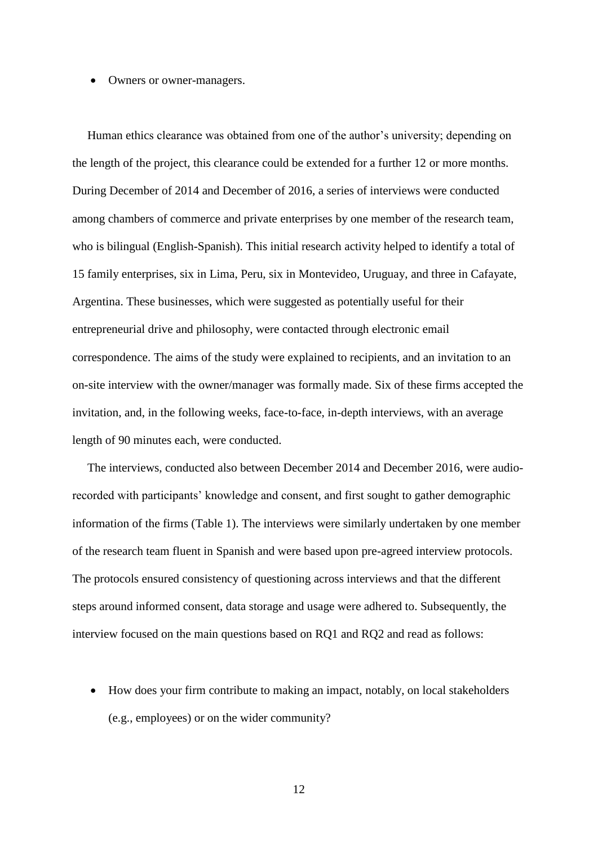#### • Owners or owner-managers.

 Human ethics clearance was obtained from one of the author's university; depending on the length of the project, this clearance could be extended for a further 12 or more months. During December of 2014 and December of 2016, a series of interviews were conducted among chambers of commerce and private enterprises by one member of the research team, who is bilingual (English-Spanish). This initial research activity helped to identify a total of 15 family enterprises, six in Lima, Peru, six in Montevideo, Uruguay, and three in Cafayate, Argentina. These businesses, which were suggested as potentially useful for their entrepreneurial drive and philosophy, were contacted through electronic email correspondence. The aims of the study were explained to recipients, and an invitation to an on-site interview with the owner/manager was formally made. Six of these firms accepted the invitation, and, in the following weeks, face-to-face, in-depth interviews, with an average length of 90 minutes each, were conducted.

 The interviews, conducted also between December 2014 and December 2016, were audiorecorded with participants' knowledge and consent, and first sought to gather demographic information of the firms (Table 1). The interviews were similarly undertaken by one member of the research team fluent in Spanish and were based upon pre-agreed interview protocols. The protocols ensured consistency of questioning across interviews and that the different steps around informed consent, data storage and usage were adhered to. Subsequently, the interview focused on the main questions based on RQ1 and RQ2 and read as follows:

• How does your firm contribute to making an impact, notably, on local stakeholders (e.g., employees) or on the wider community?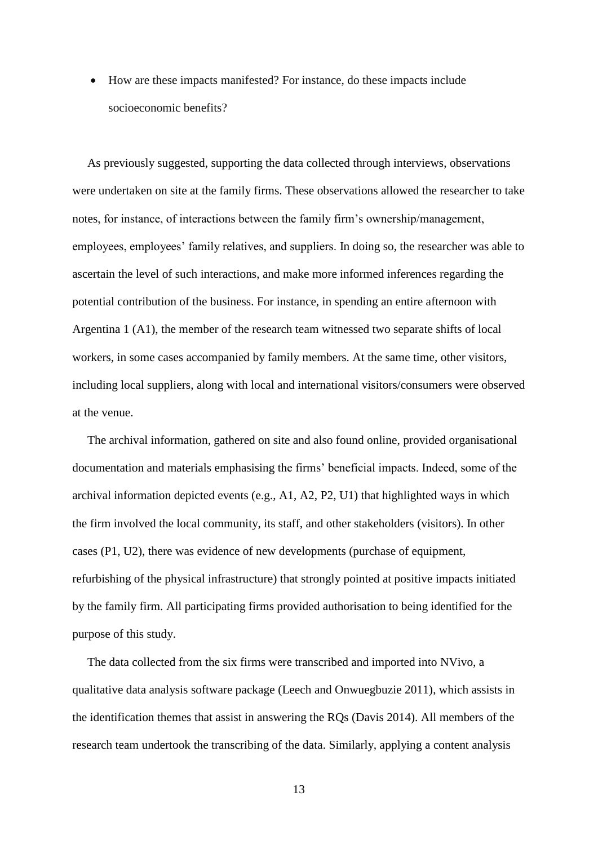How are these impacts manifested? For instance, do these impacts include socioeconomic benefits?

 As previously suggested, supporting the data collected through interviews, observations were undertaken on site at the family firms. These observations allowed the researcher to take notes, for instance, of interactions between the family firm's ownership/management, employees, employees' family relatives, and suppliers. In doing so, the researcher was able to ascertain the level of such interactions, and make more informed inferences regarding the potential contribution of the business. For instance, in spending an entire afternoon with Argentina 1 (A1), the member of the research team witnessed two separate shifts of local workers, in some cases accompanied by family members. At the same time, other visitors, including local suppliers, along with local and international visitors/consumers were observed at the venue.

 The archival information, gathered on site and also found online, provided organisational documentation and materials emphasising the firms' beneficial impacts. Indeed, some of the archival information depicted events (e.g., A1, A2, P2, U1) that highlighted ways in which the firm involved the local community, its staff, and other stakeholders (visitors). In other cases (P1, U2), there was evidence of new developments (purchase of equipment, refurbishing of the physical infrastructure) that strongly pointed at positive impacts initiated by the family firm. All participating firms provided authorisation to being identified for the purpose of this study.

 The data collected from the six firms were transcribed and imported into NVivo, a qualitative data analysis software package (Leech and Onwuegbuzie 2011), which assists in the identification themes that assist in answering the RQs (Davis 2014). All members of the research team undertook the transcribing of the data. Similarly, applying a content analysis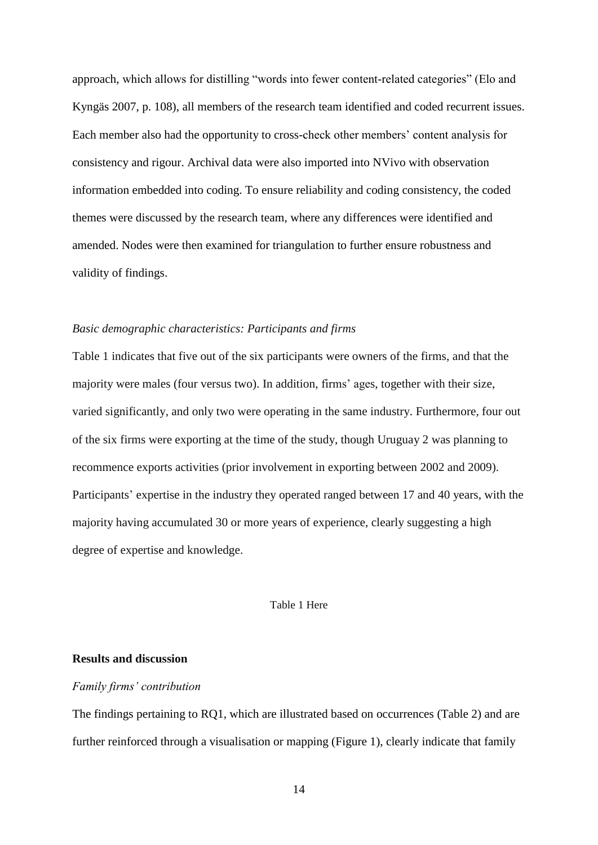approach, which allows for distilling "words into fewer content-related categories" (Elo and Kyngäs 2007, p. 108), all members of the research team identified and coded recurrent issues. Each member also had the opportunity to cross-check other members' content analysis for consistency and rigour. Archival data were also imported into NVivo with observation information embedded into coding. To ensure reliability and coding consistency, the coded themes were discussed by the research team, where any differences were identified and amended. Nodes were then examined for triangulation to further ensure robustness and validity of findings.

# *Basic demographic characteristics: Participants and firms*

Table 1 indicates that five out of the six participants were owners of the firms, and that the majority were males (four versus two). In addition, firms' ages, together with their size, varied significantly, and only two were operating in the same industry. Furthermore, four out of the six firms were exporting at the time of the study, though Uruguay 2 was planning to recommence exports activities (prior involvement in exporting between 2002 and 2009). Participants' expertise in the industry they operated ranged between 17 and 40 years, with the majority having accumulated 30 or more years of experience, clearly suggesting a high degree of expertise and knowledge.

### Table 1 Here

# **Results and discussion**

## *Family firms' contribution*

The findings pertaining to RQ1, which are illustrated based on occurrences (Table 2) and are further reinforced through a visualisation or mapping (Figure 1), clearly indicate that family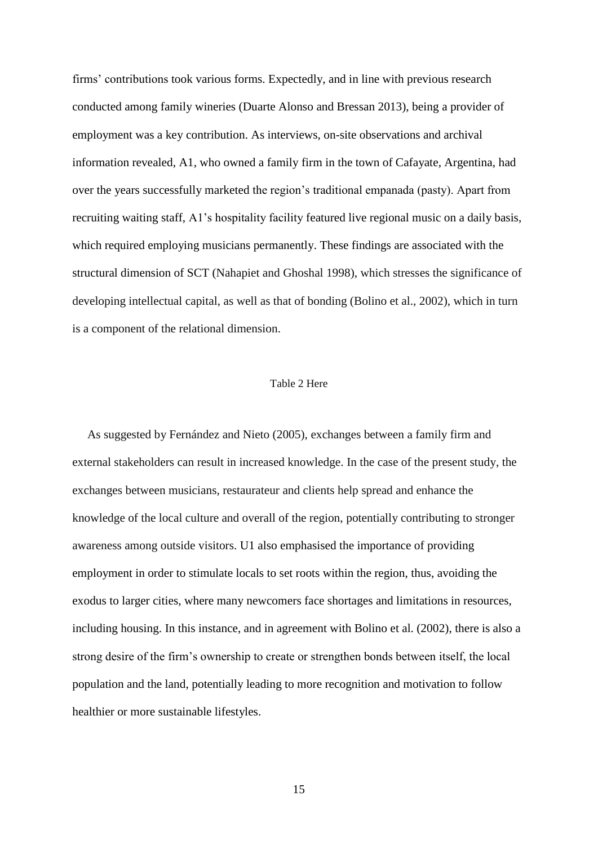firms' contributions took various forms. Expectedly, and in line with previous research conducted among family wineries (Duarte Alonso and Bressan 2013), being a provider of employment was a key contribution. As interviews, on-site observations and archival information revealed, A1, who owned a family firm in the town of Cafayate, Argentina, had over the years successfully marketed the region's traditional empanada (pasty). Apart from recruiting waiting staff, A1's hospitality facility featured live regional music on a daily basis, which required employing musicians permanently. These findings are associated with the structural dimension of SCT (Nahapiet and Ghoshal 1998), which stresses the significance of developing intellectual capital, as well as that of bonding (Bolino et al., 2002), which in turn is a component of the relational dimension.

#### Table 2 Here

 As suggested by Fernández and Nieto (2005), exchanges between a family firm and external stakeholders can result in increased knowledge. In the case of the present study, the exchanges between musicians, restaurateur and clients help spread and enhance the knowledge of the local culture and overall of the region, potentially contributing to stronger awareness among outside visitors. U1 also emphasised the importance of providing employment in order to stimulate locals to set roots within the region, thus, avoiding the exodus to larger cities, where many newcomers face shortages and limitations in resources, including housing. In this instance, and in agreement with Bolino et al. (2002), there is also a strong desire of the firm's ownership to create or strengthen bonds between itself, the local population and the land, potentially leading to more recognition and motivation to follow healthier or more sustainable lifestyles.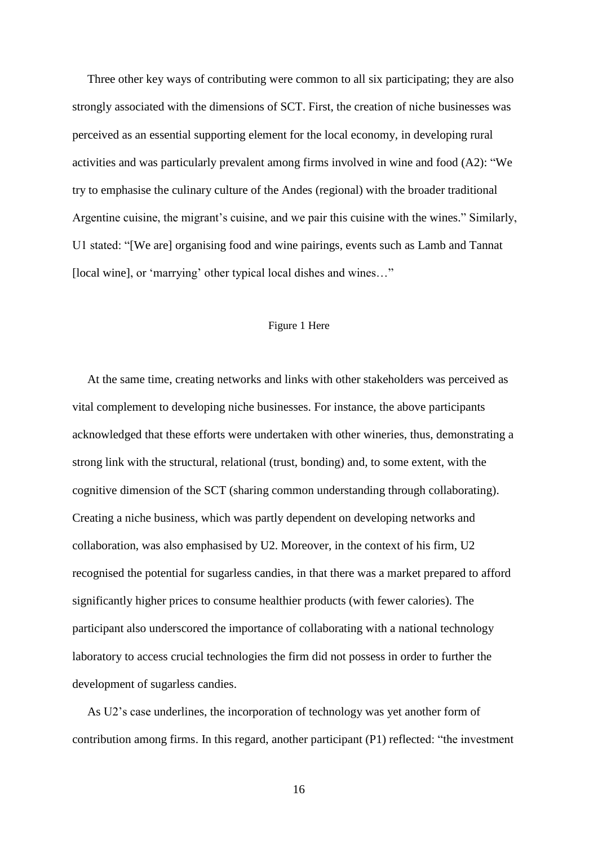Three other key ways of contributing were common to all six participating; they are also strongly associated with the dimensions of SCT. First, the creation of niche businesses was perceived as an essential supporting element for the local economy, in developing rural activities and was particularly prevalent among firms involved in wine and food (A2): "We try to emphasise the culinary culture of the Andes (regional) with the broader traditional Argentine cuisine, the migrant's cuisine, and we pair this cuisine with the wines." Similarly, U1 stated: "[We are] organising food and wine pairings, events such as Lamb and Tannat [local wine], or 'marrying' other typical local dishes and wines..."

## Figure 1 Here

 At the same time, creating networks and links with other stakeholders was perceived as vital complement to developing niche businesses. For instance, the above participants acknowledged that these efforts were undertaken with other wineries, thus, demonstrating a strong link with the structural, relational (trust, bonding) and, to some extent, with the cognitive dimension of the SCT (sharing common understanding through collaborating). Creating a niche business, which was partly dependent on developing networks and collaboration, was also emphasised by U2. Moreover, in the context of his firm, U2 recognised the potential for sugarless candies, in that there was a market prepared to afford significantly higher prices to consume healthier products (with fewer calories). The participant also underscored the importance of collaborating with a national technology laboratory to access crucial technologies the firm did not possess in order to further the development of sugarless candies.

 As U2's case underlines, the incorporation of technology was yet another form of contribution among firms. In this regard, another participant (P1) reflected: "the investment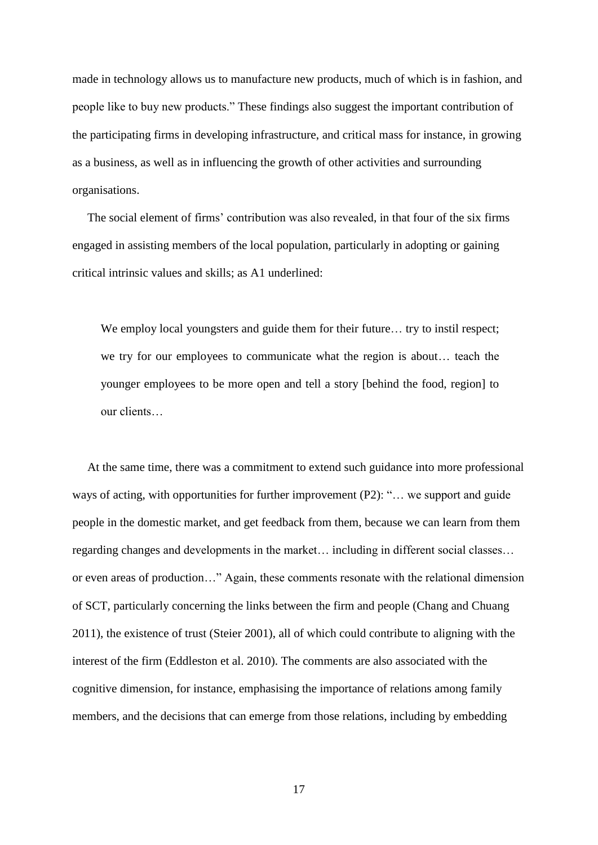made in technology allows us to manufacture new products, much of which is in fashion, and people like to buy new products." These findings also suggest the important contribution of the participating firms in developing infrastructure, and critical mass for instance, in growing as a business, as well as in influencing the growth of other activities and surrounding organisations.

 The social element of firms' contribution was also revealed, in that four of the six firms engaged in assisting members of the local population, particularly in adopting or gaining critical intrinsic values and skills; as A1 underlined:

We employ local youngsters and guide them for their future... try to instil respect; we try for our employees to communicate what the region is about… teach the younger employees to be more open and tell a story [behind the food, region] to our clients…

 At the same time, there was a commitment to extend such guidance into more professional ways of acting, with opportunities for further improvement (P2): "... we support and guide people in the domestic market, and get feedback from them, because we can learn from them regarding changes and developments in the market… including in different social classes… or even areas of production…" Again, these comments resonate with the relational dimension of SCT, particularly concerning the links between the firm and people (Chang and Chuang 2011), the existence of trust (Steier 2001), all of which could contribute to aligning with the interest of the firm (Eddleston et al. 2010). The comments are also associated with the cognitive dimension, for instance, emphasising the importance of relations among family members, and the decisions that can emerge from those relations, including by embedding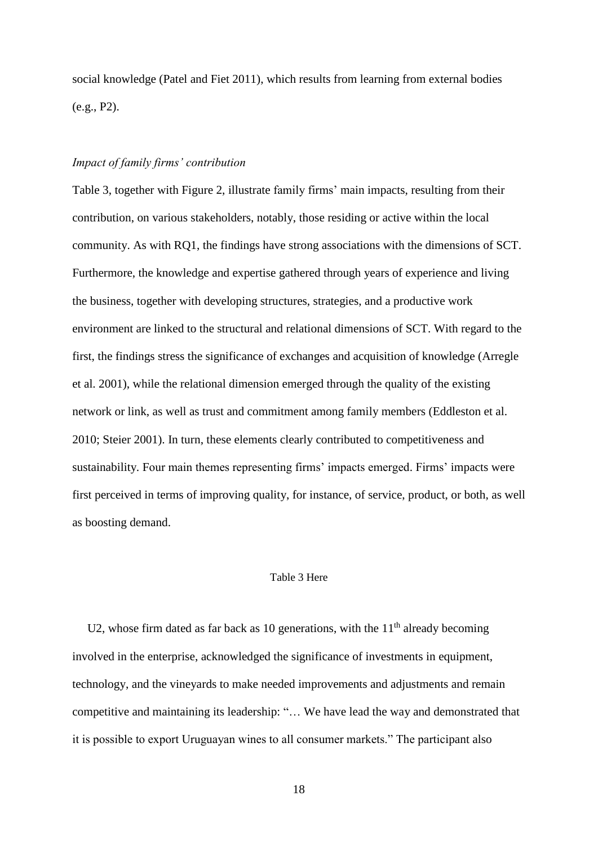social knowledge (Patel and Fiet 2011), which results from learning from external bodies (e.g., P2).

# *Impact of family firms' contribution*

Table 3, together with Figure 2, illustrate family firms' main impacts, resulting from their contribution, on various stakeholders, notably, those residing or active within the local community. As with RQ1, the findings have strong associations with the dimensions of SCT. Furthermore, the knowledge and expertise gathered through years of experience and living the business, together with developing structures, strategies, and a productive work environment are linked to the structural and relational dimensions of SCT. With regard to the first, the findings stress the significance of exchanges and acquisition of knowledge (Arregle et al. 2001), while the relational dimension emerged through the quality of the existing network or link, as well as trust and commitment among family members (Eddleston et al. 2010; Steier 2001). In turn, these elements clearly contributed to competitiveness and sustainability. Four main themes representing firms' impacts emerged. Firms' impacts were first perceived in terms of improving quality, for instance, of service, product, or both, as well as boosting demand.

## Table 3 Here

U2, whose firm dated as far back as 10 generations, with the  $11<sup>th</sup>$  already becoming involved in the enterprise, acknowledged the significance of investments in equipment, technology, and the vineyards to make needed improvements and adjustments and remain competitive and maintaining its leadership: "… We have lead the way and demonstrated that it is possible to export Uruguayan wines to all consumer markets." The participant also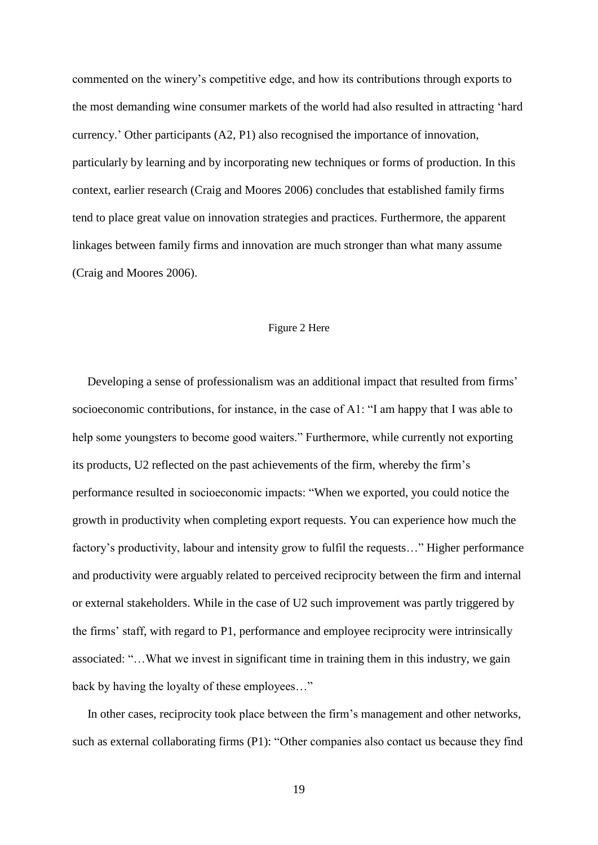commented on the winery's competitive edge, and how its contributions through exports to the most demanding wine consumer markets of the world had also resulted in attracting 'hard currency.' Other participants (A2, P1) also recognised the importance of innovation, particularly by learning and by incorporating new techniques or forms of production. In this context, earlier research (Craig and Moores 2006) concludes that established family firms tend to place great value on innovation strategies and practices. Furthermore, the apparent linkages between family firms and innovation are much stronger than what many assume (Craig and Moores 2006).

# Figure 2 Here

 Developing a sense of professionalism was an additional impact that resulted from firms' socioeconomic contributions, for instance, in the case of A1: "I am happy that I was able to help some youngsters to become good waiters." Furthermore, while currently not exporting its products, U2 reflected on the past achievements of the firm, whereby the firm's performance resulted in socioeconomic impacts: "When we exported, you could notice the growth in productivity when completing export requests. You can experience how much the factory's productivity, labour and intensity grow to fulfil the requests…" Higher performance and productivity were arguably related to perceived reciprocity between the firm and internal or external stakeholders. While in the case of U2 such improvement was partly triggered by the firms' staff, with regard to P1, performance and employee reciprocity were intrinsically associated: "…What we invest in significant time in training them in this industry, we gain back by having the loyalty of these employees…"

 In other cases, reciprocity took place between the firm's management and other networks, such as external collaborating firms (P1): "Other companies also contact us because they find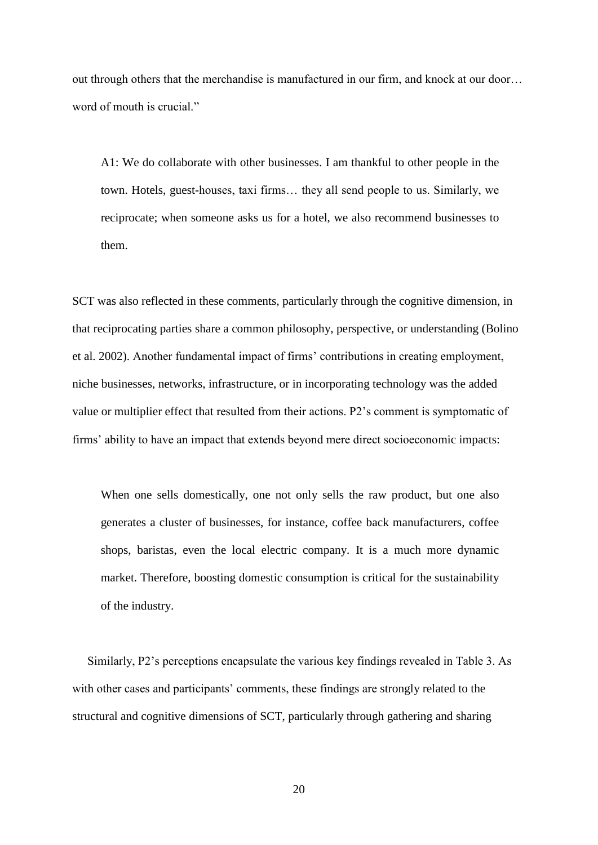out through others that the merchandise is manufactured in our firm, and knock at our door… word of mouth is crucial."

A1: We do collaborate with other businesses. I am thankful to other people in the town. Hotels, guest-houses, taxi firms… they all send people to us. Similarly, we reciprocate; when someone asks us for a hotel, we also recommend businesses to them.

SCT was also reflected in these comments, particularly through the cognitive dimension, in that reciprocating parties share a common philosophy, perspective, or understanding (Bolino et al. 2002). Another fundamental impact of firms' contributions in creating employment, niche businesses, networks, infrastructure, or in incorporating technology was the added value or multiplier effect that resulted from their actions. P2's comment is symptomatic of firms' ability to have an impact that extends beyond mere direct socioeconomic impacts:

When one sells domestically, one not only sells the raw product, but one also generates a cluster of businesses, for instance, coffee back manufacturers, coffee shops, baristas, even the local electric company. It is a much more dynamic market. Therefore, boosting domestic consumption is critical for the sustainability of the industry.

 Similarly, P2's perceptions encapsulate the various key findings revealed in Table 3. As with other cases and participants' comments, these findings are strongly related to the structural and cognitive dimensions of SCT, particularly through gathering and sharing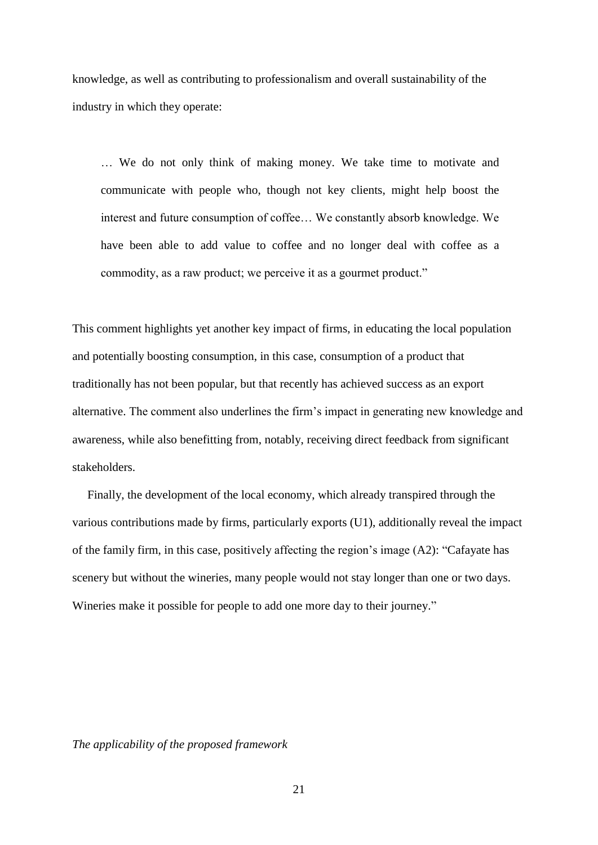knowledge, as well as contributing to professionalism and overall sustainability of the industry in which they operate:

… We do not only think of making money. We take time to motivate and communicate with people who, though not key clients, might help boost the interest and future consumption of coffee… We constantly absorb knowledge. We have been able to add value to coffee and no longer deal with coffee as a commodity, as a raw product; we perceive it as a gourmet product."

This comment highlights yet another key impact of firms, in educating the local population and potentially boosting consumption, in this case, consumption of a product that traditionally has not been popular, but that recently has achieved success as an export alternative. The comment also underlines the firm's impact in generating new knowledge and awareness, while also benefitting from, notably, receiving direct feedback from significant stakeholders.

 Finally, the development of the local economy, which already transpired through the various contributions made by firms, particularly exports (U1), additionally reveal the impact of the family firm, in this case, positively affecting the region's image (A2): "Cafayate has scenery but without the wineries, many people would not stay longer than one or two days. Wineries make it possible for people to add one more day to their journey."

*The applicability of the proposed framework*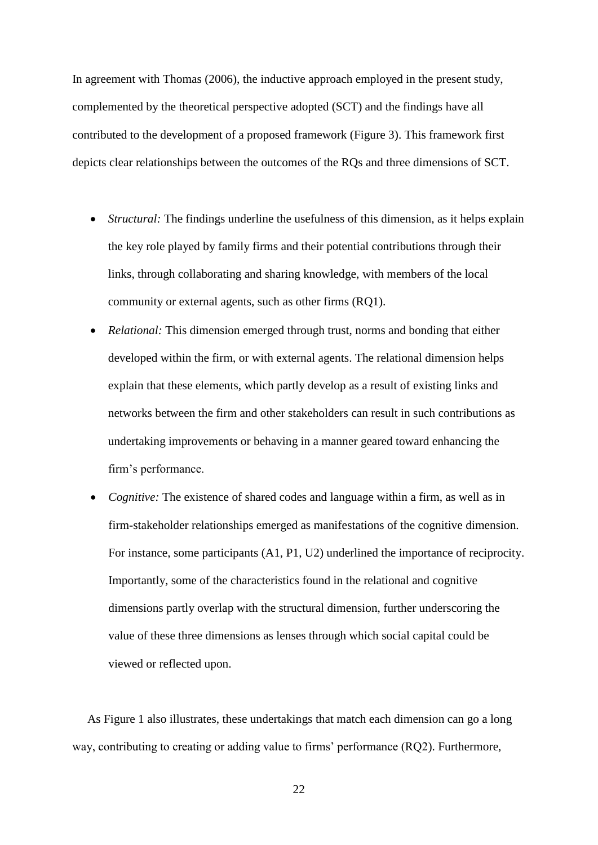In agreement with Thomas (2006), the inductive approach employed in the present study, complemented by the theoretical perspective adopted (SCT) and the findings have all contributed to the development of a proposed framework (Figure 3). This framework first depicts clear relationships between the outcomes of the RQs and three dimensions of SCT.

- *Structural:* The findings underline the usefulness of this dimension, as it helps explain the key role played by family firms and their potential contributions through their links, through collaborating and sharing knowledge, with members of the local community or external agents, such as other firms (RQ1).
- *Relational:* This dimension emerged through trust, norms and bonding that either developed within the firm, or with external agents. The relational dimension helps explain that these elements, which partly develop as a result of existing links and networks between the firm and other stakeholders can result in such contributions as undertaking improvements or behaving in a manner geared toward enhancing the firm's performance.
- *Cognitive:* The existence of shared codes and language within a firm, as well as in firm-stakeholder relationships emerged as manifestations of the cognitive dimension. For instance, some participants (A1, P1, U2) underlined the importance of reciprocity. Importantly, some of the characteristics found in the relational and cognitive dimensions partly overlap with the structural dimension, further underscoring the value of these three dimensions as lenses through which social capital could be viewed or reflected upon.

 As Figure 1 also illustrates, these undertakings that match each dimension can go a long way, contributing to creating or adding value to firms' performance (RQ2). Furthermore,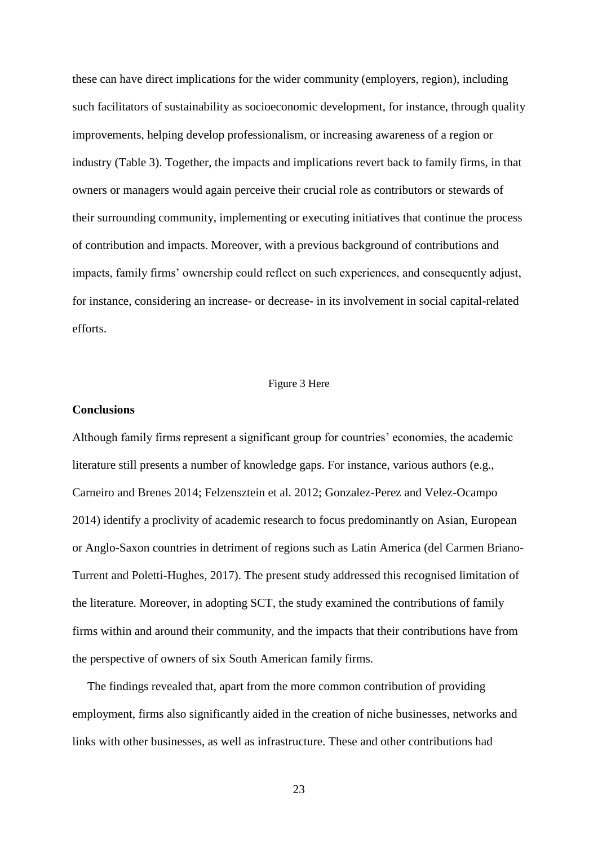these can have direct implications for the wider community (employers, region), including such facilitators of sustainability as socioeconomic development, for instance, through quality improvements, helping develop professionalism, or increasing awareness of a region or industry (Table 3). Together, the impacts and implications revert back to family firms, in that owners or managers would again perceive their crucial role as contributors or stewards of their surrounding community, implementing or executing initiatives that continue the process of contribution and impacts. Moreover, with a previous background of contributions and impacts, family firms' ownership could reflect on such experiences, and consequently adjust, for instance, considering an increase- or decrease- in its involvement in social capital-related efforts.

### Figure 3 Here

# **Conclusions**

Although family firms represent a significant group for countries' economies, the academic literature still presents a number of knowledge gaps. For instance, various authors (e.g., Carneiro and Brenes 2014; Felzensztein et al. 2012; Gonzalez-Perez and Velez-Ocampo 2014) identify a proclivity of academic research to focus predominantly on Asian, European or Anglo-Saxon countries in detriment of regions such as Latin America (del Carmen Briano-Turrent and Poletti-Hughes, 2017). The present study addressed this recognised limitation of the literature. Moreover, in adopting SCT, the study examined the contributions of family firms within and around their community, and the impacts that their contributions have from the perspective of owners of six South American family firms.

 The findings revealed that, apart from the more common contribution of providing employment, firms also significantly aided in the creation of niche businesses, networks and links with other businesses, as well as infrastructure. These and other contributions had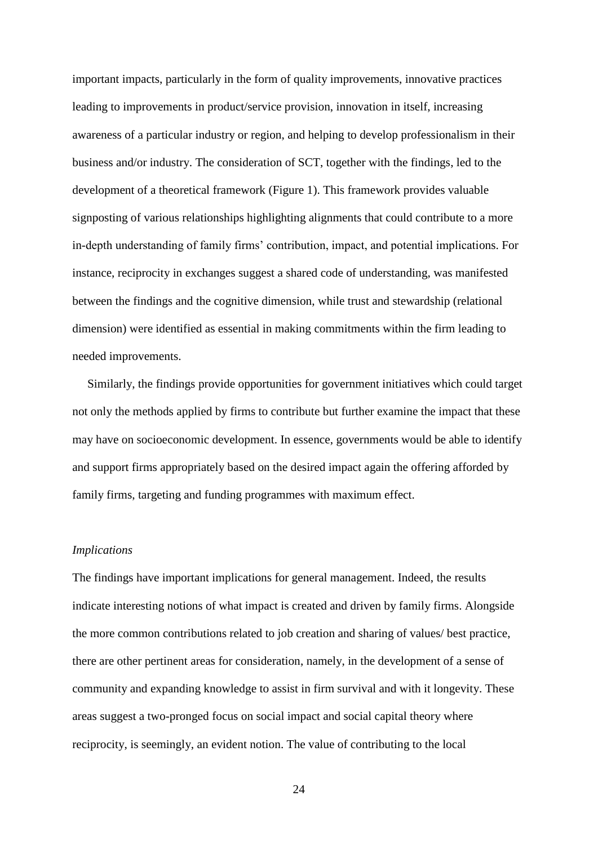important impacts, particularly in the form of quality improvements, innovative practices leading to improvements in product/service provision, innovation in itself, increasing awareness of a particular industry or region, and helping to develop professionalism in their business and/or industry. The consideration of SCT, together with the findings, led to the development of a theoretical framework (Figure 1). This framework provides valuable signposting of various relationships highlighting alignments that could contribute to a more in-depth understanding of family firms' contribution, impact, and potential implications. For instance, reciprocity in exchanges suggest a shared code of understanding, was manifested between the findings and the cognitive dimension, while trust and stewardship (relational dimension) were identified as essential in making commitments within the firm leading to needed improvements.

 Similarly, the findings provide opportunities for government initiatives which could target not only the methods applied by firms to contribute but further examine the impact that these may have on socioeconomic development. In essence, governments would be able to identify and support firms appropriately based on the desired impact again the offering afforded by family firms, targeting and funding programmes with maximum effect.

# *Implications*

The findings have important implications for general management. Indeed, the results indicate interesting notions of what impact is created and driven by family firms. Alongside the more common contributions related to job creation and sharing of values/ best practice, there are other pertinent areas for consideration, namely, in the development of a sense of community and expanding knowledge to assist in firm survival and with it longevity. These areas suggest a two-pronged focus on social impact and social capital theory where reciprocity, is seemingly, an evident notion. The value of contributing to the local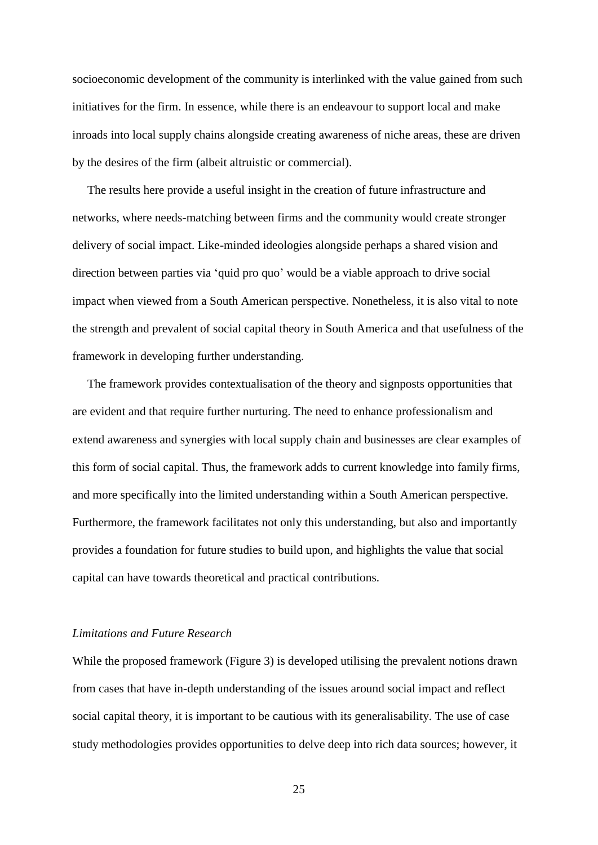socioeconomic development of the community is interlinked with the value gained from such initiatives for the firm. In essence, while there is an endeavour to support local and make inroads into local supply chains alongside creating awareness of niche areas, these are driven by the desires of the firm (albeit altruistic or commercial).

 The results here provide a useful insight in the creation of future infrastructure and networks, where needs-matching between firms and the community would create stronger delivery of social impact. Like-minded ideologies alongside perhaps a shared vision and direction between parties via 'quid pro quo' would be a viable approach to drive social impact when viewed from a South American perspective. Nonetheless, it is also vital to note the strength and prevalent of social capital theory in South America and that usefulness of the framework in developing further understanding.

 The framework provides contextualisation of the theory and signposts opportunities that are evident and that require further nurturing. The need to enhance professionalism and extend awareness and synergies with local supply chain and businesses are clear examples of this form of social capital. Thus, the framework adds to current knowledge into family firms, and more specifically into the limited understanding within a South American perspective. Furthermore, the framework facilitates not only this understanding, but also and importantly provides a foundation for future studies to build upon, and highlights the value that social capital can have towards theoretical and practical contributions.

# *Limitations and Future Research*

While the proposed framework (Figure 3) is developed utilising the prevalent notions drawn from cases that have in-depth understanding of the issues around social impact and reflect social capital theory, it is important to be cautious with its generalisability. The use of case study methodologies provides opportunities to delve deep into rich data sources; however, it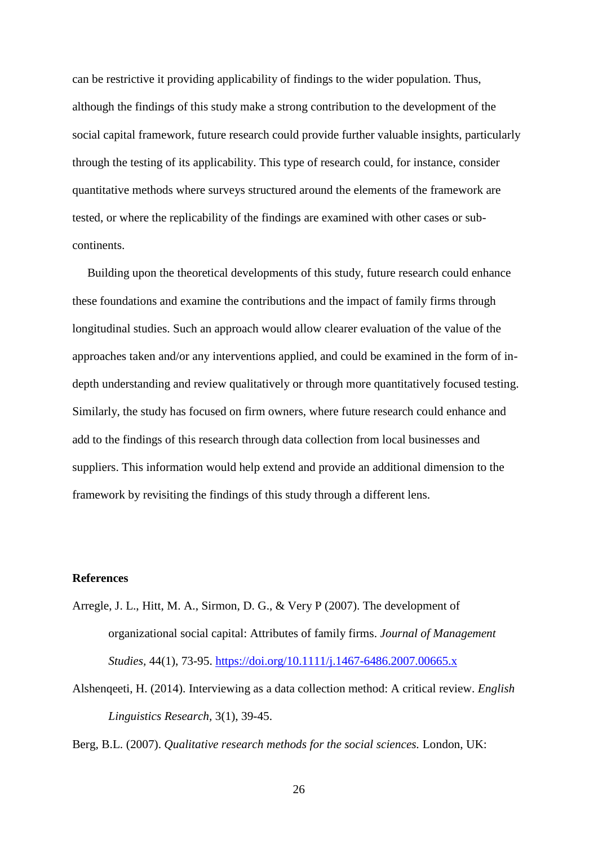can be restrictive it providing applicability of findings to the wider population. Thus, although the findings of this study make a strong contribution to the development of the social capital framework, future research could provide further valuable insights, particularly through the testing of its applicability. This type of research could, for instance, consider quantitative methods where surveys structured around the elements of the framework are tested, or where the replicability of the findings are examined with other cases or subcontinents.

 Building upon the theoretical developments of this study, future research could enhance these foundations and examine the contributions and the impact of family firms through longitudinal studies. Such an approach would allow clearer evaluation of the value of the approaches taken and/or any interventions applied, and could be examined in the form of indepth understanding and review qualitatively or through more quantitatively focused testing. Similarly, the study has focused on firm owners, where future research could enhance and add to the findings of this research through data collection from local businesses and suppliers. This information would help extend and provide an additional dimension to the framework by revisiting the findings of this study through a different lens.

# **References**

- Arregle, J. L., Hitt, M. A., Sirmon, D. G., & Very P (2007). The development of organizational social capital: Attributes of family firms. *Journal of Management Studies,* 44(1), 73-95. <https://doi.org/10.1111/j.1467-6486.2007.00665.x>
- Alshenqeeti, H. (2014). Interviewing as a data collection method: A critical review. *English Linguistics Research,* 3(1), 39-45.

Berg, B.L. (2007). *Qualitative research methods for the social sciences.* London, UK: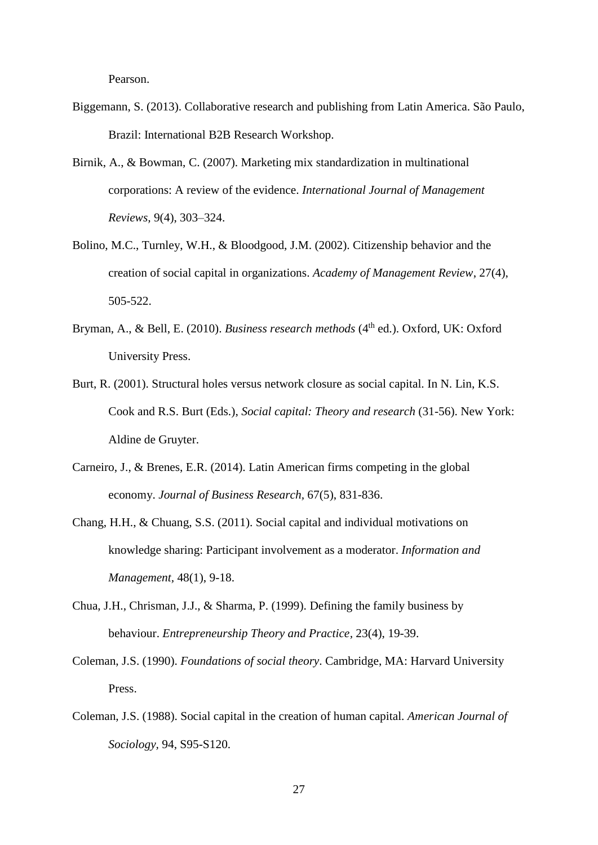Pearson.

- Biggemann, S. (2013). Collaborative research and publishing from Latin America. São Paulo, Brazil: International B2B Research Workshop.
- Birnik, A., & Bowman, C. (2007). Marketing mix standardization in multinational corporations: A review of the evidence. *International Journal of Management Reviews,* 9(4), 303–324.
- Bolino, M.C., Turnley, W.H., & Bloodgood, J.M. (2002). Citizenship behavior and the creation of social capital in organizations. *Academy of Management Review*, 27(4), 505-522.
- Bryman, A., & Bell, E. (2010). *Business research methods* (4<sup>th</sup> ed.). Oxford, UK: Oxford University Press.
- Burt, R. (2001). Structural holes versus network closure as social capital. In N. Lin, K.S. Cook and R.S. Burt (Eds.), *Social capital: Theory and research* (31-56). New York: Aldine de Gruyter.
- Carneiro, J., & Brenes, E.R. (2014). Latin American firms competing in the global economy. *Journal of Business Research,* 67(5), 831-836.
- Chang, H.H., & Chuang, S.S. (2011). Social capital and individual motivations on knowledge sharing: Participant involvement as a moderator. *Information and Management,* 48(1), 9-18.
- Chua, J.H., Chrisman, J.J., & Sharma, P. (1999). Defining the family business by behaviour. *Entrepreneurship Theory and Practice,* 23(4), 19-39.
- Coleman, J.S. (1990). *Foundations of social theory*. Cambridge, MA: Harvard University Press.
- Coleman, J.S. (1988). Social capital in the creation of human capital. *American Journal of Sociology,* 94, S95-S120.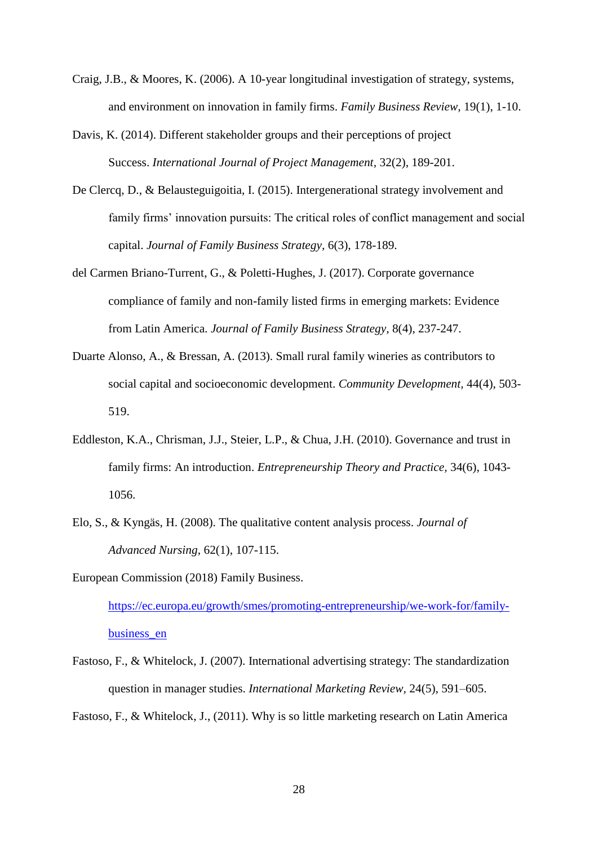- Craig, J.B., & Moores, K. (2006). A 10-year longitudinal investigation of strategy, systems, and environment on innovation in family firms. *Family Business Review,* 19(1), 1-10.
- Davis, K. (2014). Different stakeholder groups and their perceptions of project Success. *International Journal of Project Management,* 32(2), 189-201.
- De Clercq, D., & Belausteguigoitia, I. (2015). Intergenerational strategy involvement and family firms' innovation pursuits: The critical roles of conflict management and social capital. *Journal of Family Business Strategy,* 6(3), 178-189.
- del Carmen Briano-Turrent, G., & Poletti-Hughes, J. (2017). Corporate governance compliance of family and non-family listed firms in emerging markets: Evidence from Latin America. *Journal of Family Business Strategy,* 8(4), 237-247.
- Duarte Alonso, A., & Bressan, A. (2013). Small rural family wineries as contributors to social capital and socioeconomic development. *Community Development,* 44(4), 503- 519.
- Eddleston, K.A., Chrisman, J.J., Steier, L.P., & Chua, J.H. (2010). Governance and trust in family firms: An introduction. *Entrepreneurship Theory and Practice,* 34(6), 1043- 1056.
- Elo, S., & Kyngäs, H. (2008). The qualitative content analysis process. *Journal of Advanced Nursing,* 62(1), 107-115.
- European Commission (2018) Family Business.

[https://ec.europa.eu/growth/smes/promoting-entrepreneurship/we-work-for/family](https://ec.europa.eu/growth/smes/promoting-entrepreneurship/we-work-for/family-business_en)business en

Fastoso, F., & Whitelock, J. (2007). International advertising strategy: The standardization question in manager studies. *International Marketing Review,* 24(5), 591–605.

Fastoso, F., & Whitelock, J., (2011). Why is so little marketing research on Latin America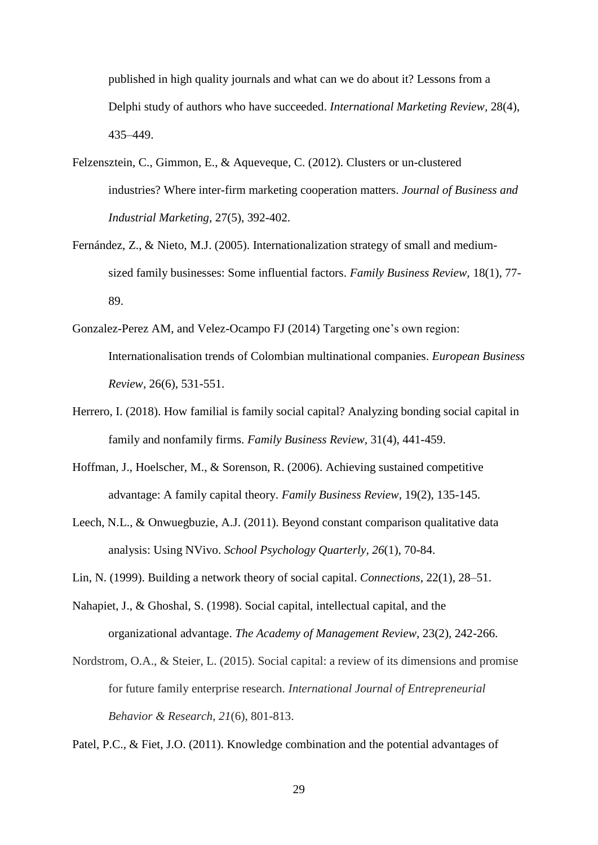published in high quality journals and what can we do about it? Lessons from a Delphi study of authors who have succeeded. *International Marketing Review,* 28(4), 435–449.

- Felzensztein, C., Gimmon, E., & Aqueveque, C. (2012). Clusters or un-clustered industries? Where inter-firm marketing cooperation matters. *Journal of Business and Industrial Marketing,* 27(5), 392-402.
- Fernández, Z., & Nieto, M.J. (2005). Internationalization strategy of small and mediumsized family businesses: Some influential factors. *Family Business Review,* 18(1), 77- 89.
- Gonzalez-Perez AM, and Velez-Ocampo FJ (2014) Targeting one's own region: Internationalisation trends of Colombian multinational companies. *European Business Review,* 26(6), 531-551.
- Herrero, I. (2018). How familial is family social capital? Analyzing bonding social capital in family and nonfamily firms. *Family Business Review,* 31(4), 441-459.
- Hoffman, J., Hoelscher, M., & Sorenson, R. (2006). Achieving sustained competitive advantage: A family capital theory. *Family Business Review*, 19(2), 135-145.
- Leech, N.L., & Onwuegbuzie, A.J. (2011). Beyond constant comparison qualitative data analysis: Using NVivo. *School Psychology Quarterly, 26*(1), 70-84.
- Lin, N. (1999). Building a network theory of social capital. *Connections,* 22(1), 28–51.
- Nahapiet, J., & Ghoshal, S. (1998). Social capital, intellectual capital, and the organizational advantage. *The Academy of Management Review,* 23(2), 242-266.
- Nordstrom, O.A., & Steier, L. (2015). Social capital: a review of its dimensions and promise for future family enterprise research. *International Journal of Entrepreneurial Behavior & Research*, *21*(6), 801-813.

Patel, P.C., & Fiet, J.O. (2011). Knowledge combination and the potential advantages of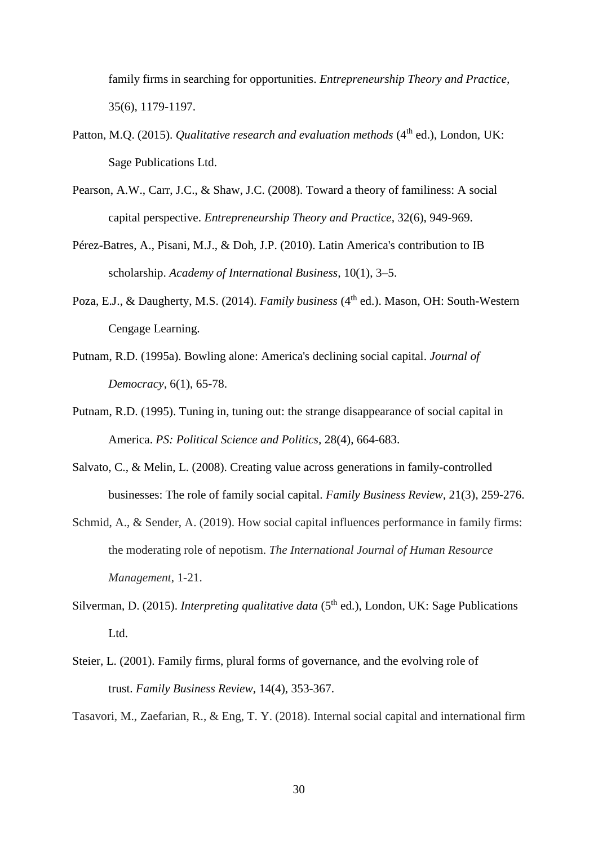family firms in searching for opportunities. *Entrepreneurship Theory and Practice,*  35(6), 1179-1197.

- Patton, M.Q. (2015). *Qualitative research and evaluation methods* (4<sup>th</sup> ed.), London, UK: Sage Publications Ltd.
- Pearson, A.W., Carr, J.C., & Shaw, J.C. (2008). Toward a theory of familiness: A social capital perspective. *Entrepreneurship Theory and Practice,* 32(6), 949-969.
- Pérez-Batres, A., Pisani, M.J., & Doh, J.P. (2010). Latin America's contribution to IB scholarship. *Academy of International Business,* 10(1), 3–5.
- Poza, E.J., & Daugherty, M.S. (2014). *Family business* (4<sup>th</sup> ed.). Mason, OH: South-Western Cengage Learning.
- Putnam, R.D. (1995a). Bowling alone: America's declining social capital. *Journal of Democracy,* 6(1), 65-78.
- Putnam, R.D. (1995). Tuning in, tuning out: the strange disappearance of social capital in America. *PS: Political Science and Politics,* 28(4), 664-683.
- Salvato, C., & Melin, L. (2008). Creating value across generations in family-controlled businesses: The role of family social capital. *Family Business Review,* 21(3), 259-276.
- Schmid, A., & Sender, A. (2019). How social capital influences performance in family firms: the moderating role of nepotism. *The International Journal of Human Resource Management*, 1-21.
- Silverman, D. (2015). *Interpreting qualitative data* (5<sup>th</sup> ed.), London, UK: Sage Publications Ltd.
- Steier, L. (2001). Family firms, plural forms of governance, and the evolving role of trust. *Family Business Review,* 14(4), 353-367.

Tasavori, M., Zaefarian, R., & Eng, T. Y. (2018). Internal social capital and international firm